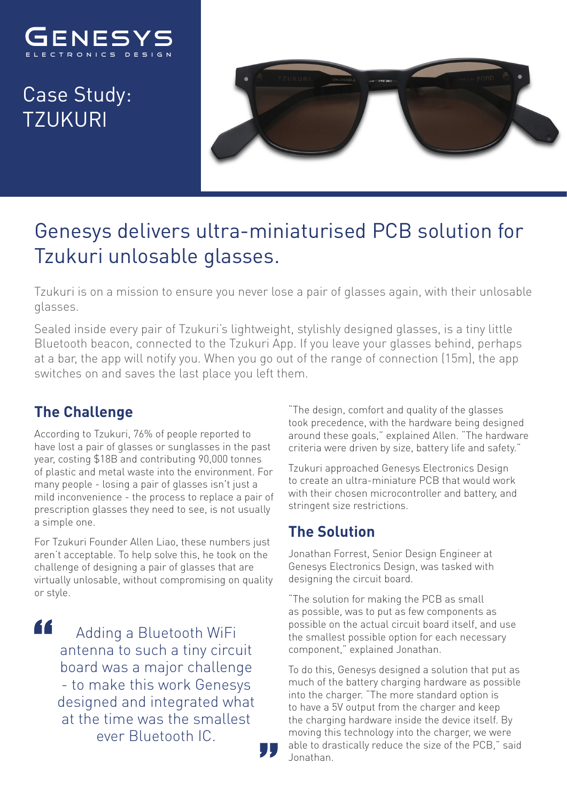

Case Study: TZUKURI



## Genesys delivers ultra-miniaturised PCB solution for Tzukuri unlosable glasses.

Tzukuri is on a mission to ensure you never lose a pair of glasses again, with their unlosable glasses.

Sealed inside every pair of Tzukuri's lightweight, stylishly designed glasses, is a tiny little Bluetooth beacon, connected to the Tzukuri App. If you leave your glasses behind, perhaps at a bar, the app will notify you. When you go out of the range of connection (15m), the app switches on and saves the last place you left them.

## **The Challenge**

According to Tzukuri, 76% of people reported to have lost a pair of glasses or sunglasses in the past year, costing \$18B and contributing 90,000 tonnes of plastic and metal waste into the environment. For many people - losing a pair of glasses isn't just a mild inconvenience - the process to replace a pair of prescription glasses they need to see, is not usually a simple one.

For Tzukuri Founder Allen Liao, these numbers just aren't acceptable. To help solve this, he took on the challenge of designing a pair of glasses that are virtually unlosable, without compromising on quality or style.

44

Adding a Bluetooth WiFi antenna to such a tiny circuit board was a major challenge - to make this work Genesys designed and integrated what at the time was the smallest ever Bluetooth IC.

"The design, comfort and quality of the glasses took precedence, with the hardware being designed around these goals," explained Allen. "The hardware criteria were driven by size, battery life and safety."

Tzukuri approached Genesys Electronics Design to create an ultra-miniature PCB that would work with their chosen microcontroller and battery, and stringent size restrictions.

## **The Solution**

Jonathan Forrest, Senior Design Engineer at Genesys Electronics Design, was tasked with designing the circuit board.

"The solution for making the PCB as small as possible, was to put as few components as possible on the actual circuit board itself, and use the smallest possible option for each necessary component," explained Jonathan.

To do this, Genesys designed a solution that put as much of the battery charging hardware as possible into the charger. "The more standard option is to have a 5V output from the charger and keep the charging hardware inside the device itself. By moving this technology into the charger, we were able to drastically reduce the size of the PCB," said Jonathan.